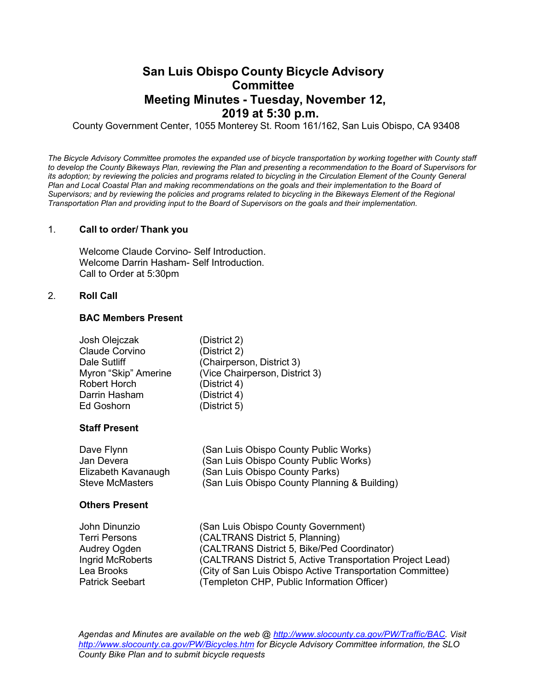# **San Luis Obispo County Bicycle Advisory Committee Meeting Minutes - Tuesday, November 12, 2019 at 5:30 p.m.**

County Government Center, 1055 Monterey St. Room 161/162, San Luis Obispo, CA 93408

*The Bicycle Advisory Committee promotes the expanded use of bicycle transportation by working together with County staff to develop the County Bikeways Plan, reviewing the Plan and presenting a recommendation to the Board of Supervisors for its adoption; by reviewing the policies and programs related to bicycling in the Circulation Element of the County General* **Plan and Local Coastal Plan and making recommendations on the goals and their implementation to the Board of** *Supervisors; and by reviewing the policies and programs related to bicycling in the Bikeways Element of the Regional Transportation Plan and providing input to the Board of Supervisors on the goals and their implementation.*

#### 1. **Call to order/ Thank you**

Welcome Claude Corvino- Self Introduction. Welcome Darrin Hasham- Self Introduction. Call to Order at 5:30pm

#### 2. **Roll Call**

## **BAC Members Present**

| Josh Olejczak        | (District 2)                   |
|----------------------|--------------------------------|
| Claude Corvino       | (District 2)                   |
| Dale Sutliff         | (Chairperson, District 3)      |
| Myron "Skip" Amerine | (Vice Chairperson, District 3) |
| <b>Robert Horch</b>  | (District 4)                   |
| Darrin Hasham        | (District 4)                   |
| <b>Ed Goshorn</b>    | (District 5)                   |
|                      |                                |

## **Staff Present**

| Dave Flynn          | (San Luis Obispo County Public Works)        |
|---------------------|----------------------------------------------|
| Jan Devera          | (San Luis Obispo County Public Works)        |
| Elizabeth Kavanaugh | (San Luis Obispo County Parks)               |
| Steve McMasters     | (San Luis Obispo County Planning & Building) |

#### **Others Present**

| John Dinunzio          | (San Luis Obispo County Government)                       |
|------------------------|-----------------------------------------------------------|
| <b>Terri Persons</b>   | (CALTRANS District 5, Planning)                           |
| Audrey Ogden           | (CALTRANS District 5, Bike/Ped Coordinator)               |
| Ingrid McRoberts       | (CALTRANS District 5, Active Transportation Project Lead) |
| Lea Brooks             | (City of San Luis Obispo Active Transportation Committee) |
| <b>Patrick Seebart</b> | (Templeton CHP, Public Information Officer)               |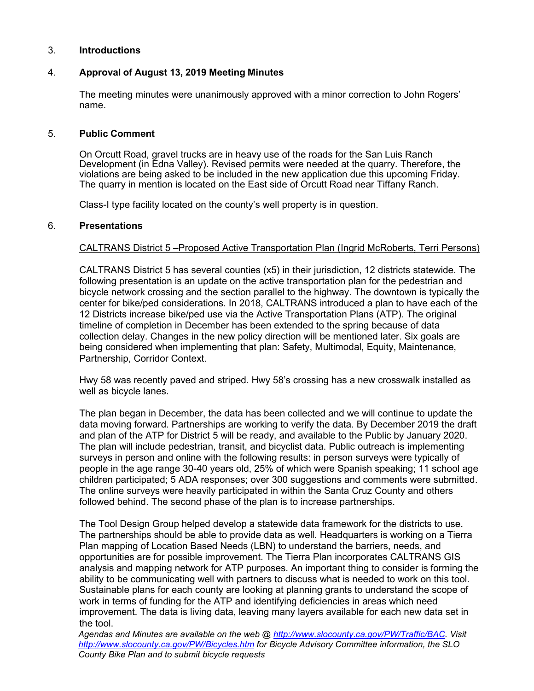# 3. **Introductions**

# 4. **Approval of August 13, 2019 Meeting Minutes**

The meeting minutes were unanimously approved with a minor correction to John Rogers' name.

### 5. **Public Comment**

On Orcutt Road, gravel trucks are in heavy use of the roads for the San Luis Ranch Development (in Edna Valley). Revised permits were needed at the quarry. Therefore, the violations are being asked to be included in the new application due this upcoming Friday. The quarry in mention is located on the East side of Orcutt Road near Tiffany Ranch.

Class-I type facility located on the county's well property is in question.

# 6. **Presentations**

# CALTRANS District 5 –Proposed Active Transportation Plan (Ingrid McRoberts, Terri Persons)

CALTRANS District 5 has several counties (x5) in their jurisdiction, 12 districts statewide. The following presentation is an update on the active transportation plan for the pedestrian and bicycle network crossing and the section parallel to the highway. The downtown is typically the center for bike/ped considerations. In 2018, CALTRANS introduced a plan to have each of the 12 Districts increase bike/ped use via the Active Transportation Plans (ATP). The original timeline of completion in December has been extended to the spring because of data collection delay. Changes in the new policy direction will be mentioned later. Six goals are being considered when implementing that plan: Safety, Multimodal, Equity, Maintenance, Partnership, Corridor Context.

Hwy 58 was recently paved and striped. Hwy 58's crossing has a new crosswalk installed as well as bicycle lanes.

The plan began in December, the data has been collected and we will continue to update the data moving forward. Partnerships are working to verify the data. By December 2019 the draft and plan of the ATP for District 5 will be ready, and available to the Public by January 2020. The plan will include pedestrian, transit, and bicyclist data. Public outreach is implementing surveys in person and online with the following results: in person surveys were typically of people in the age range 30-40 years old, 25% of which were Spanish speaking; 11 school age children participated; 5 ADA responses; over 300 suggestions and comments were submitted. The online surveys were heavily participated in within the Santa Cruz County and others followed behind. The second phase of the plan is to increase partnerships.

The Tool Design Group helped develop a statewide data framework for the districts to use. The partnerships should be able to provide data as well. Headquarters is working on a Tierra Plan mapping of Location Based Needs (LBN) to understand the barriers, needs, and opportunities are for possible improvement. The Tierra Plan incorporates CALTRANS GIS analysis and mapping network for ATP purposes. An important thing to consider is forming the ability to be communicating well with partners to discuss what is needed to work on this tool. Sustainable plans for each county are looking at planning grants to understand the scope of work in terms of funding for the ATP and identifying deficiencies in areas which need improvement. The data is living data, leaving many layers available for each new data set in the tool.

*Agendas and Minutes are available on the web @ http://www.slocounty.ca.gov/PW/Traffic/BAC. Visit http://www.slocounty.ca.gov/PW/Bicycles.htm for Bicycle Advisory Committee information, the SLO County Bike Plan and to submit bicycle requests*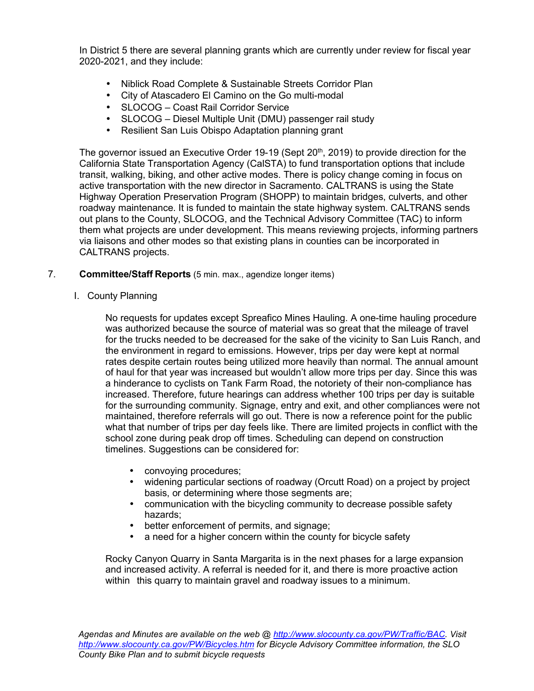In District 5 there are several planning grants which are currently under review for fiscal year 2020-2021, and they include:

- Niblick Road Complete & Sustainable Streets Corridor Plan
- City of Atascadero El Camino on the Go multi-modal
- SLOCOG Coast Rail Corridor Service
- SLOCOG Diesel Multiple Unit (DMU) passenger rail study
- Resilient San Luis Obispo Adaptation planning grant

The governor issued an Executive Order 19-19 (Sept 20<sup>th</sup>, 2019) to provide direction for the California State Transportation Agency (CalSTA) to fund transportation options that include transit, walking, biking, and other active modes. There is policy change coming in focus on active transportation with the new director in Sacramento. CALTRANS is using the State Highway Operation Preservation Program (SHOPP) to maintain bridges, culverts, and other roadway maintenance. It is funded to maintain the state highway system. CALTRANS sends out plans to the County, SLOCOG, and the Technical Advisory Committee (TAC) to inform them what projects are under development. This means reviewing projects, informing partners via liaisons and other modes so that existing plans in counties can be incorporated in CALTRANS projects.

# 7. **Committee/Staff Reports** (5 min. max., agendize longer items)

I. County Planning

No requests for updates except Spreafico Mines Hauling. A one-time hauling procedure was authorized because the source of material was so great that the mileage of travel for the trucks needed to be decreased for the sake of the vicinity to San Luis Ranch, and the environment in regard to emissions. However, trips per day were kept at normal rates despite certain routes being utilized more heavily than normal. The annual amount of haul for that year was increased but wouldn't allow more trips per day. Since this was a hinderance to cyclists on Tank Farm Road, the notoriety of their non-compliance has increased. Therefore, future hearings can address whether 100 trips per day is suitable for the surrounding community. Signage, entry and exit, and other compliances were not maintained, therefore referrals will go out. There is now a reference point for the public what that number of trips per day feels like. There are limited projects in conflict with the school zone during peak drop off times. Scheduling can depend on construction timelines. Suggestions can be considered for:

- convoying procedures;
- widening particular sections of roadway (Orcutt Road) on a project by project basis, or determining where those segments are;
- communication with the bicycling community to decrease possible safety hazards;
- better enforcement of permits, and signage;
- a need for a higher concern within the county for bicycle safety

Rocky Canyon Quarry in Santa Margarita is in the next phases for a large expansion and increased activity. A referral is needed for it, and there is more proactive action within this quarry to maintain gravel and roadway issues to a minimum.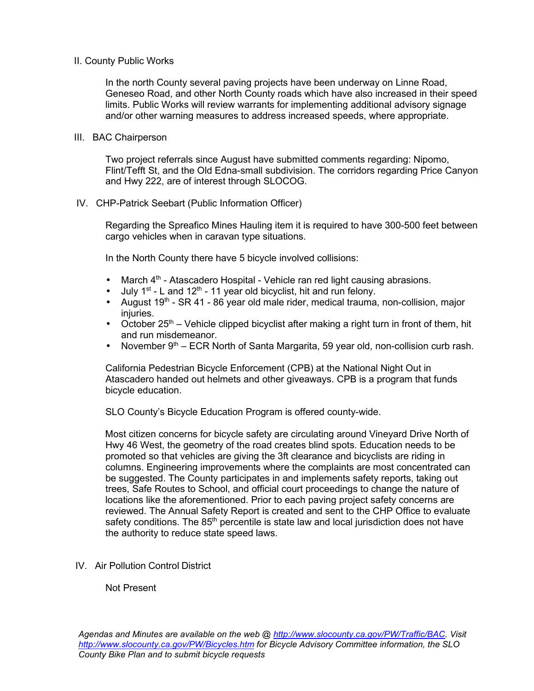# II. County Public Works

In the north County several paving projects have been underway on Linne Road, Geneseo Road, and other North County roads which have also increased in their speed limits. Public Works will review warrants for implementing additional advisory signage and/or other warning measures to address increased speeds, where appropriate.

# III. BAC Chairperson

 Two project referrals since August have submitted comments regarding: Nipomo, Flint/Tefft St, and the Old Edna-small subdivision. The corridors regarding Price Canyon and Hwy 222, are of interest through SLOCOG.

# IV. CHP-Patrick Seebart (Public Information Officer)

 Regarding the Spreafico Mines Hauling item it is required to have 300-500 feet between cargo vehicles when in caravan type situations.

In the North County there have 5 bicycle involved collisions:

- March  $4<sup>th</sup>$  Atascadero Hospital Vehicle ran red light causing abrasions.
- July  $1^{st}$  L and  $12^{th}$  11 year old bicyclist, hit and run felony.
- August  $19<sup>th</sup>$  SR 41 86 year old male rider, medical trauma, non-collision, major injuries.
- October  $25<sup>th</sup>$  Vehicle clipped bicyclist after making a right turn in front of them, hit and run misdemeanor.
- November  $9<sup>th</sup>$  ECR North of Santa Margarita, 59 year old, non-collision curb rash.

California Pedestrian Bicycle Enforcement (CPB) at the National Night Out in Atascadero handed out helmets and other giveaways. CPB is a program that funds bicycle education.

SLO County's Bicycle Education Program is offered county-wide.

Most citizen concerns for bicycle safety are circulating around Vineyard Drive North of Hwy 46 West, the geometry of the road creates blind spots. Education needs to be promoted so that vehicles are giving the 3ft clearance and bicyclists are riding in columns. Engineering improvements where the complaints are most concentrated can be suggested. The County participates in and implements safety reports, taking out trees, Safe Routes to School, and official court proceedings to change the nature of locations like the aforementioned. Prior to each paving project safety concerns are reviewed. The Annual Safety Report is created and sent to the CHP Office to evaluate safety conditions. The 85<sup>th</sup> percentile is state law and local jurisdiction does not have the authority to reduce state speed laws.

IV. Air Pollution Control District

# Not Present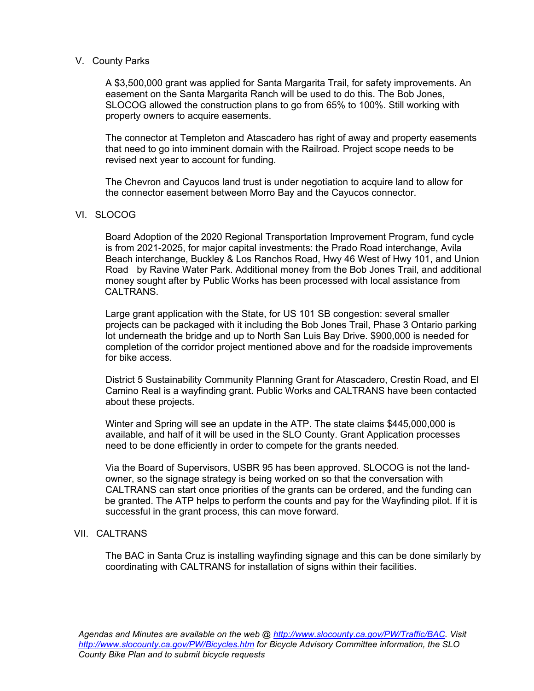# V. County Parks

 A \$3,500,000 grant was applied for Santa Margarita Trail, for safety improvements. An easement on the Santa Margarita Ranch will be used to do this. The Bob Jones, SLOCOG allowed the construction plans to go from 65% to 100%. Still working with property owners to acquire easements.

 The connector at Templeton and Atascadero has right of away and property easements that need to go into imminent domain with the Railroad. Project scope needs to be revised next year to account for funding.

 The Chevron and Cayucos land trust is under negotiation to acquire land to allow for the connector easement between Morro Bay and the Cayucos connector.

### VI. SLOCOG

 Board Adoption of the 2020 Regional Transportation Improvement Program, fund cycle is from 2021-2025, for major capital investments: the Prado Road interchange, Avila Beach interchange, Buckley & Los Ranchos Road, Hwy 46 West of Hwy 101, and Union Road by Ravine Water Park. Additional money from the Bob Jones Trail, and additional money sought after by Public Works has been processed with local assistance from CALTRANS.

 Large grant application with the State, for US 101 SB congestion: several smaller projects can be packaged with it including the Bob Jones Trail, Phase 3 Ontario parking lot underneath the bridge and up to North San Luis Bay Drive. \$900,000 is needed for completion of the corridor project mentioned above and for the roadside improvements for bike access.

 District 5 Sustainability Community Planning Grant for Atascadero, Crestin Road, and El Camino Real is a wayfinding grant. Public Works and CALTRANS have been contacted about these projects.

 Winter and Spring will see an update in the ATP. The state claims \$445,000,000 is available, and half of it will be used in the SLO County. Grant Application processes need to be done efficiently in order to compete for the grants needed*.*

 Via the Board of Supervisors, USBR 95 has been approved. SLOCOG is not the land owner, so the signage strategy is being worked on so that the conversation with CALTRANS can start once priorities of the grants can be ordered, and the funding can be granted. The ATP helps to perform the counts and pay for the Wayfinding pilot. If it is successful in the grant process, this can move forward.

# VII. CALTRANS

 The BAC in Santa Cruz is installing wayfinding signage and this can be done similarly by coordinating with CALTRANS for installation of signs within their facilities.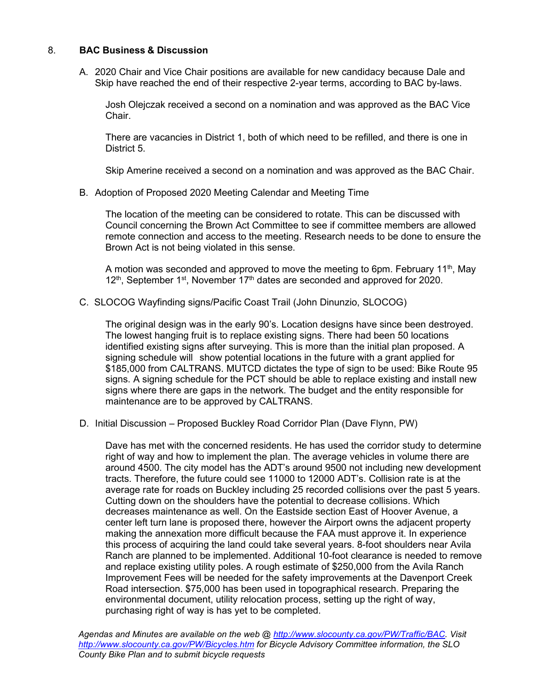# 8. **BAC Business & Discussion**

A. 2020 Chair and Vice Chair positions are available for new candidacy because Dale and Skip have reached the end of their respective 2-year terms, according to BAC by-laws.

 Josh Olejczak received a second on a nomination and was approved as the BAC Vice Chair.

 There are vacancies in District 1, both of which need to be refilled, and there is one in District 5.

Skip Amerine received a second on a nomination and was approved as the BAC Chair.

B. Adoption of Proposed 2020 Meeting Calendar and Meeting Time

 The location of the meeting can be considered to rotate. This can be discussed with Council concerning the Brown Act Committee to see if committee members are allowed remote connection and access to the meeting. Research needs to be done to ensure the Brown Act is not being violated in this sense.

A motion was seconded and approved to move the meeting to 6pm. February 11<sup>th</sup>, May  $12<sup>th</sup>$ , September 1<sup>st</sup>, November 17<sup>th</sup> dates are seconded and approved for 2020.

C. SLOCOG Wayfinding signs/Pacific Coast Trail (John Dinunzio, SLOCOG)

 The original design was in the early 90's. Location designs have since been destroyed. The lowest hanging fruit is to replace existing signs. There had been 50 locations identified existing signs after surveying. This is more than the initial plan proposed. A signing schedule will show potential locations in the future with a grant applied for \$185,000 from CALTRANS. MUTCD dictates the type of sign to be used: Bike Route 95 signs. A signing schedule for the PCT should be able to replace existing and install new signs where there are gaps in the network. The budget and the entity responsible for maintenance are to be approved by CALTRANS.

D. Initial Discussion – Proposed Buckley Road Corridor Plan (Dave Flynn, PW)

 Dave has met with the concerned residents. He has used the corridor study to determine right of way and how to implement the plan. The average vehicles in volume there are around 4500. The city model has the ADT's around 9500 not including new development tracts. Therefore, the future could see 11000 to 12000 ADT's. Collision rate is at the average rate for roads on Buckley including 25 recorded collisions over the past 5 years. Cutting down on the shoulders have the potential to decrease collisions. Which decreases maintenance as well. On the Eastside section East of Hoover Avenue, a center left turn lane is proposed there, however the Airport owns the adjacent property making the annexation more difficult because the FAA must approve it. In experience this process of acquiring the land could take several years. 8-foot shoulders near Avila Ranch are planned to be implemented. Additional 10-foot clearance is needed to remove and replace existing utility poles. A rough estimate of \$250,000 from the Avila Ranch Improvement Fees will be needed for the safety improvements at the Davenport Creek Road intersection. \$75,000 has been used in topographical research. Preparing the environmental document, utility relocation process, setting up the right of way, purchasing right of way is has yet to be completed.